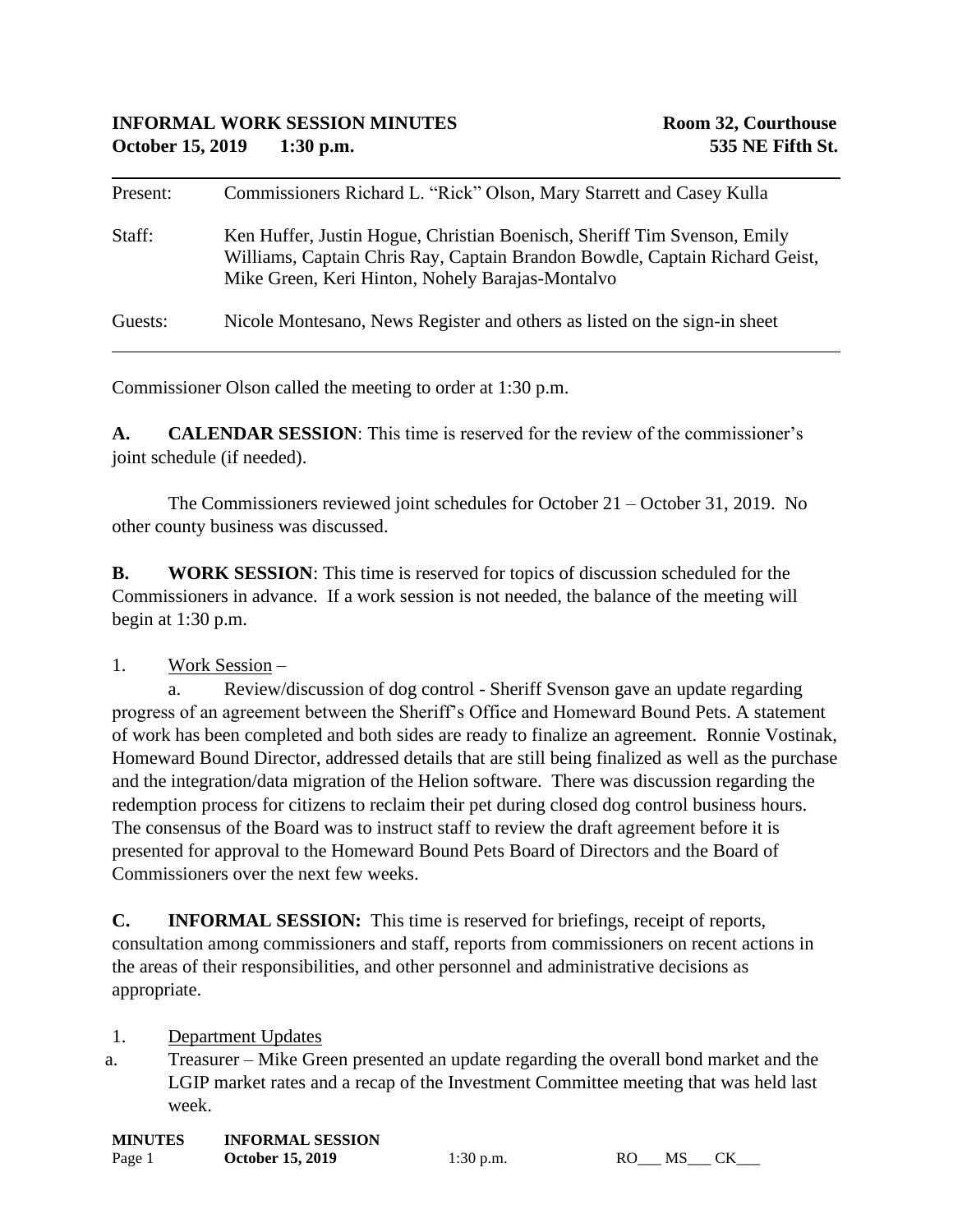| Present: | Commissioners Richard L. "Rick" Olson, Mary Starrett and Casey Kulla                                                                                                                                        |
|----------|-------------------------------------------------------------------------------------------------------------------------------------------------------------------------------------------------------------|
| Staff:   | Ken Huffer, Justin Hogue, Christian Boenisch, Sheriff Tim Svenson, Emily<br>Williams, Captain Chris Ray, Captain Brandon Bowdle, Captain Richard Geist,<br>Mike Green, Keri Hinton, Nohely Barajas-Montalvo |
| Guests:  | Nicole Montesano, News Register and others as listed on the sign-in sheet                                                                                                                                   |

Commissioner Olson called the meeting to order at 1:30 p.m.

**A. CALENDAR SESSION**: This time is reserved for the review of the commissioner's joint schedule (if needed).

The Commissioners reviewed joint schedules for October 21 – October 31, 2019. No other county business was discussed.

**B. WORK SESSION**: This time is reserved for topics of discussion scheduled for the Commissioners in advance. If a work session is not needed, the balance of the meeting will begin at 1:30 p.m.

## 1. Work Session –

a. Review/discussion of dog control - Sheriff Svenson gave an update regarding progress of an agreement between the Sheriff's Office and Homeward Bound Pets. A statement of work has been completed and both sides are ready to finalize an agreement. Ronnie Vostinak, Homeward Bound Director, addressed details that are still being finalized as well as the purchase and the integration/data migration of the Helion software. There was discussion regarding the redemption process for citizens to reclaim their pet during closed dog control business hours. The consensus of the Board was to instruct staff to review the draft agreement before it is presented for approval to the Homeward Bound Pets Board of Directors and the Board of Commissioners over the next few weeks.

**C. INFORMAL SESSION:** This time is reserved for briefings, receipt of reports, consultation among commissioners and staff, reports from commissioners on recent actions in the areas of their responsibilities, and other personnel and administrative decisions as appropriate.

1. Department Updates

a. Treasurer – Mike Green presented an update regarding the overall bond market and the LGIP market rates and a recap of the Investment Committee meeting that was held last week.